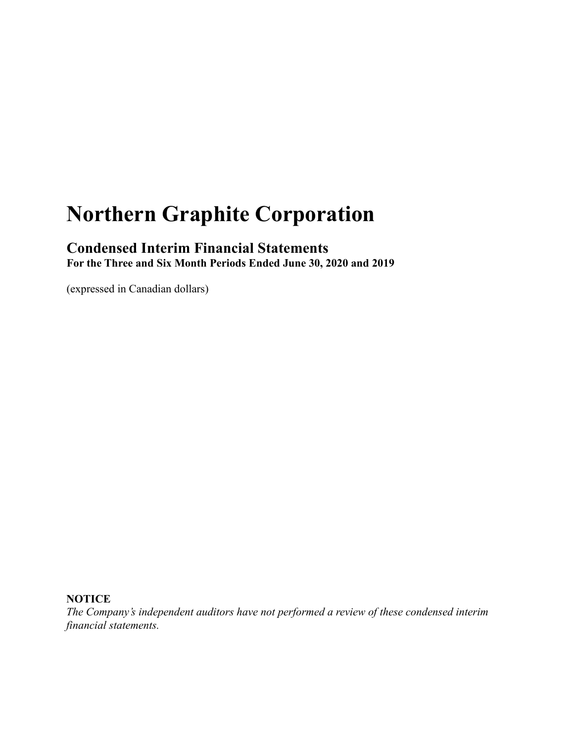# **Northern Graphite Corporation**

# **Condensed Interim Financial Statements**

**For the Three and Six Month Periods Ended June 30, 2020 and 2019**

(expressed in Canadian dollars)

### **NOTICE**

*The Company's independent auditors have not performed a review of these condensed interim financial statements.*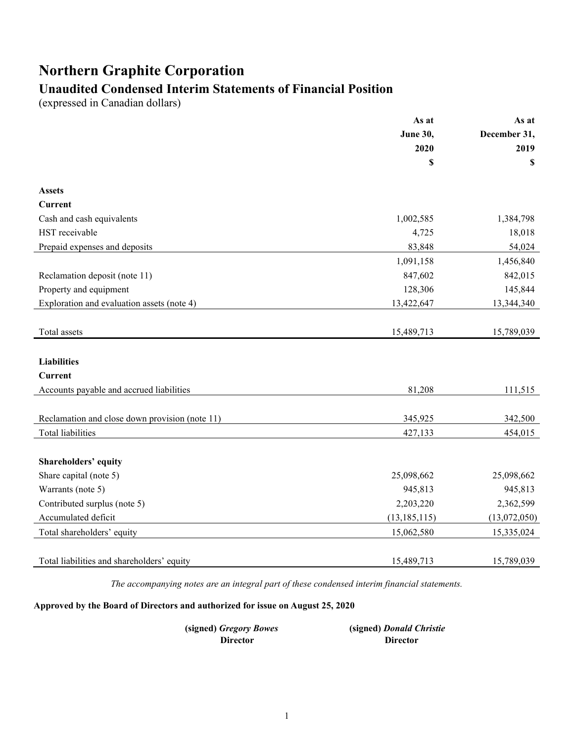# **Northern Graphite Corporation**

# **Unaudited Condensed Interim Statements of Financial Position**

(expressed in Canadian dollars)

|                                                | As at           | As at        |
|------------------------------------------------|-----------------|--------------|
|                                                | <b>June 30,</b> | December 31, |
|                                                | 2020            | 2019         |
|                                                | \$              | \$           |
| <b>Assets</b>                                  |                 |              |
| <b>Current</b>                                 |                 |              |
| Cash and cash equivalents                      | 1,002,585       | 1,384,798    |
| HST receivable                                 | 4,725           | 18,018       |
| Prepaid expenses and deposits                  | 83,848          | 54,024       |
|                                                | 1,091,158       | 1,456,840    |
| Reclamation deposit (note 11)                  | 847,602         | 842,015      |
| Property and equipment                         | 128,306         | 145,844      |
| Exploration and evaluation assets (note 4)     | 13,422,647      | 13,344,340   |
|                                                |                 |              |
| Total assets                                   | 15,489,713      | 15,789,039   |
|                                                |                 |              |
| <b>Liabilities</b>                             |                 |              |
| Current                                        |                 |              |
| Accounts payable and accrued liabilities       | 81,208          | 111,515      |
|                                                |                 |              |
| Reclamation and close down provision (note 11) | 345,925         | 342,500      |
| <b>Total liabilities</b>                       | 427,133         | 454,015      |
|                                                |                 |              |
| Shareholders' equity                           |                 |              |
| Share capital (note 5)                         | 25,098,662      | 25,098,662   |
| Warrants (note 5)                              | 945,813         | 945,813      |
| Contributed surplus (note 5)                   | 2,203,220       | 2,362,599    |
| Accumulated deficit                            | (13, 185, 115)  | (13,072,050) |
| Total shareholders' equity                     | 15,062,580      | 15,335,024   |
|                                                |                 |              |
| Total liabilities and shareholders' equity     | 15,489,713      | 15,789,039   |

*The accompanying notes are an integral part of these condensed interim financial statements.*

### **Approved by the Board of Directors and authorized for issue on August 25, 2020**

| (signed) Gregory Bowes | (signed) Donald Christie |
|------------------------|--------------------------|
| Director               | <b>Director</b>          |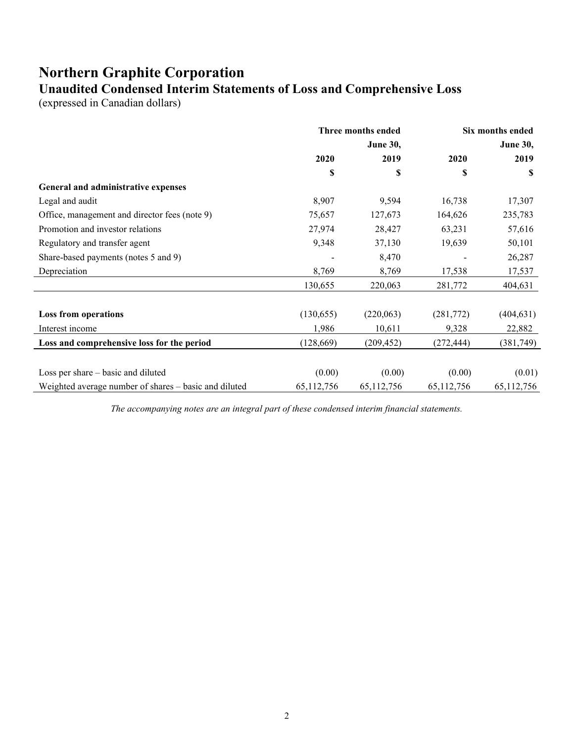### **Northern Graphite Corporation Unaudited Condensed Interim Statements of Loss and Comprehensive Loss**

(expressed in Canadian dollars)

|                                                       | Three months ended |                 |            | Six months ended |
|-------------------------------------------------------|--------------------|-----------------|------------|------------------|
|                                                       |                    | <b>June 30,</b> |            | <b>June 30,</b>  |
|                                                       | 2020               | 2019            | 2020       | 2019             |
|                                                       | \$                 | \$              | \$         | S                |
| General and administrative expenses                   |                    |                 |            |                  |
| Legal and audit                                       | 8,907              | 9,594           | 16,738     | 17,307           |
| Office, management and director fees (note 9)         | 75,657             | 127,673         | 164,626    | 235,783          |
| Promotion and investor relations                      | 27,974             | 28,427          | 63,231     | 57,616           |
| Regulatory and transfer agent                         | 9,348              | 37,130          | 19,639     | 50,101           |
| Share-based payments (notes 5 and 9)                  |                    | 8,470           |            | 26,287           |
| Depreciation                                          | 8,769              | 8,769           | 17,538     | 17,537           |
|                                                       | 130,655            | 220,063         | 281,772    | 404,631          |
| <b>Loss from operations</b>                           | (130, 655)         | (220,063)       | (281,772)  | (404, 631)       |
| Interest income                                       | 1,986              | 10,611          | 9,328      | 22,882           |
| Loss and comprehensive loss for the period            | (128, 669)         | (209, 452)      | (272, 444) | (381, 749)       |
|                                                       |                    |                 |            |                  |
| Loss per share – basic and diluted                    | (0.00)             | (0.00)          | (0.00)     | (0.01)           |
| Weighted average number of shares - basic and diluted | 65,112,756         | 65,112,756      | 65,112,756 | 65,112,756       |

*The accompanying notes are an integral part of these condensed interim financial statements.*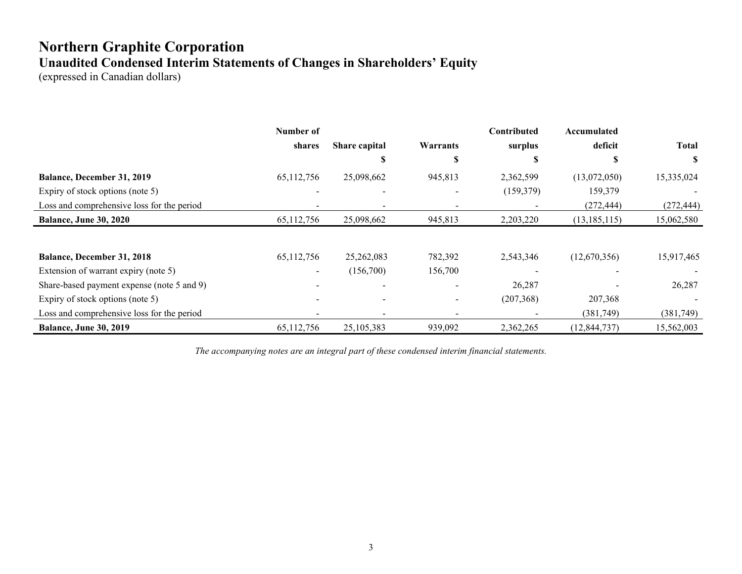# **Northern Graphite Corporation Unaudited Condensed Interim Statements of Changes in Shareholders' Equity**

(expressed in Canadian dollars)

|                                            | Number of  |                          |                          | Contributed | Accumulated    |              |
|--------------------------------------------|------------|--------------------------|--------------------------|-------------|----------------|--------------|
|                                            | shares     | Share capital            | Warrants                 | surplus     | deficit        | <b>Total</b> |
|                                            |            | Э                        | Э                        | S           |                | S            |
| Balance, December 31, 2019                 | 65,112,756 | 25,098,662               | 945,813                  | 2,362,599   | (13,072,050)   | 15,335,024   |
| Expiry of stock options (note 5)           |            |                          |                          | (159,379)   | 159,379        |              |
| Loss and comprehensive loss for the period |            |                          |                          |             | (272, 444)     | (272, 444)   |
| <b>Balance, June 30, 2020</b>              | 65,112,756 | 25,098,662               | 945,813                  | 2,203,220   | (13, 185, 115) | 15,062,580   |
|                                            |            |                          |                          |             |                |              |
| <b>Balance, December 31, 2018</b>          | 65,112,756 | 25,262,083               | 782,392                  | 2,543,346   | (12,670,356)   | 15,917,465   |
| Extension of warrant expiry (note 5)       | $\sim$     | (156,700)                | 156,700                  |             |                |              |
| Share-based payment expense (note 5 and 9) |            |                          |                          | 26,287      |                | 26,287       |
| Expiry of stock options (note 5)           |            | $\overline{\phantom{a}}$ | $\overline{\phantom{a}}$ | (207, 368)  | 207,368        |              |
| Loss and comprehensive loss for the period |            |                          |                          |             | (381,749)      | (381,749)    |
| <b>Balance, June 30, 2019</b>              | 65,112,756 | 25,105,383               | 939,092                  | 2,362,265   | (12, 844, 737) | 15,562,003   |

*The accompanying notes are an integral part of these condensed interim financial statements.*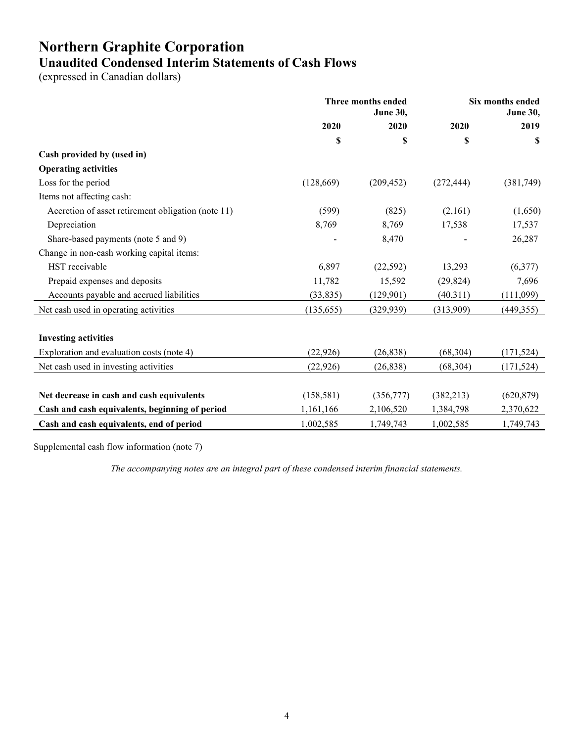# **Northern Graphite Corporation Unaudited Condensed Interim Statements of Cash Flows**

(expressed in Canadian dollars)

|                                                    | Three months ended<br><b>June 30,</b> |            | Six months ended<br><b>June 30,</b> |            |
|----------------------------------------------------|---------------------------------------|------------|-------------------------------------|------------|
|                                                    | 2020                                  | 2020       | 2020                                | 2019       |
|                                                    | \$                                    | \$         | \$                                  | S          |
| Cash provided by (used in)                         |                                       |            |                                     |            |
| <b>Operating activities</b>                        |                                       |            |                                     |            |
| Loss for the period                                | (128, 669)                            | (209, 452) | (272, 444)                          | (381,749)  |
| Items not affecting cash:                          |                                       |            |                                     |            |
| Accretion of asset retirement obligation (note 11) | (599)                                 | (825)      | (2,161)                             | (1,650)    |
| Depreciation                                       | 8,769                                 | 8,769      | 17,538                              | 17,537     |
| Share-based payments (note 5 and 9)                |                                       | 8,470      |                                     | 26,287     |
| Change in non-cash working capital items:          |                                       |            |                                     |            |
| HST receivable                                     | 6,897                                 | (22, 592)  | 13,293                              | (6,377)    |
| Prepaid expenses and deposits                      | 11,782                                | 15,592     | (29, 824)                           | 7,696      |
| Accounts payable and accrued liabilities           | (33, 835)                             | (129,901)  | (40,311)                            | (111,099)  |
| Net cash used in operating activities              | (135, 655)                            | (329, 939) | (313,909)                           | (449, 355) |
| <b>Investing activities</b>                        |                                       |            |                                     |            |
| Exploration and evaluation costs (note 4)          | (22, 926)                             | (26, 838)  | (68, 304)                           | (171, 524) |
| Net cash used in investing activities              | (22, 926)                             | (26, 838)  | (68, 304)                           | (171, 524) |
|                                                    |                                       |            |                                     |            |
| Net decrease in cash and cash equivalents          | (158, 581)                            | (356,777)  | (382, 213)                          | (620, 879) |
| Cash and cash equivalents, beginning of period     | 1,161,166                             | 2,106,520  | 1,384,798                           | 2,370,622  |
| Cash and cash equivalents, end of period           | 1,002,585                             | 1,749,743  | 1,002,585                           | 1,749,743  |

Supplemental cash flow information (note 7)

*The accompanying notes are an integral part of these condensed interim financial statements.*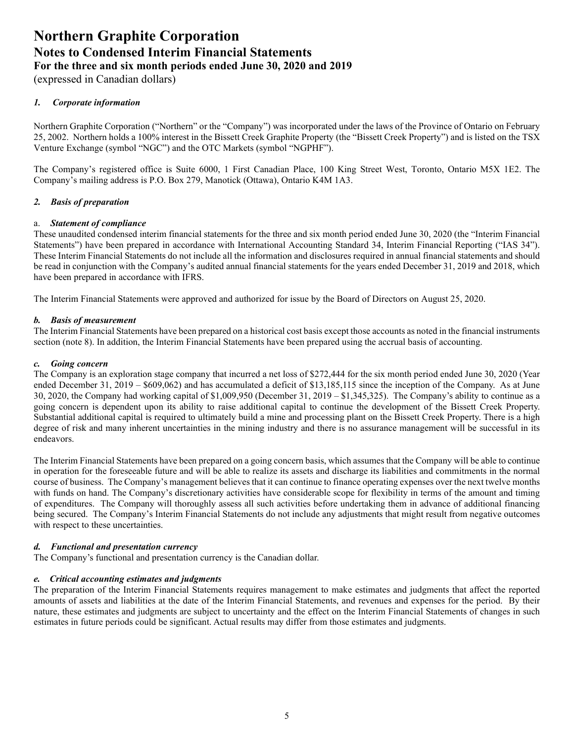(expressed in Canadian dollars)

### *1. Corporate information*

Northern Graphite Corporation ("Northern" or the "Company") was incorporated under the laws of the Province of Ontario on February 25, 2002. Northern holds a 100% interest in the Bissett Creek Graphite Property (the "Bissett Creek Property") and is listed on the TSX Venture Exchange (symbol "NGC") and the OTC Markets (symbol "NGPHF").

The Company's registered office is Suite 6000, 1 First Canadian Place, 100 King Street West, Toronto, Ontario M5X 1E2. The Company's mailing address is P.O. Box 279, Manotick (Ottawa), Ontario K4M 1A3.

### *2. Basis of preparation*

### a. *Statement of compliance*

These unaudited condensed interim financial statements for the three and six month period ended June 30, 2020 (the "Interim Financial Statements") have been prepared in accordance with International Accounting Standard 34, Interim Financial Reporting ("IAS 34"). These Interim Financial Statements do not include all the information and disclosures required in annual financial statements and should be read in conjunction with the Company's audited annual financial statements for the years ended December 31, 2019 and 2018, which have been prepared in accordance with IFRS.

The Interim Financial Statements were approved and authorized for issue by the Board of Directors on August 25, 2020.

### *b. Basis of measurement*

The Interim Financial Statements have been prepared on a historical cost basis except those accounts as noted in the financial instruments section (note 8). In addition, the Interim Financial Statements have been prepared using the accrual basis of accounting.

### *c. Going concern*

The Company is an exploration stage company that incurred a net loss of \$272,444 for the six month period ended June 30, 2020 (Year ended December 31, 2019 – \$609,062) and has accumulated a deficit of \$13,185,115 since the inception of the Company. As at June 30, 2020, the Company had working capital of \$1,009,950 (December 31, 2019 – \$1,345,325). The Company's ability to continue as a going concern is dependent upon its ability to raise additional capital to continue the development of the Bissett Creek Property. Substantial additional capital is required to ultimately build a mine and processing plant on the Bissett Creek Property. There is a high degree of risk and many inherent uncertainties in the mining industry and there is no assurance management will be successful in its endeavors.

The Interim Financial Statements have been prepared on a going concern basis, which assumes that the Company will be able to continue in operation for the foreseeable future and will be able to realize its assets and discharge its liabilities and commitments in the normal course of business. The Company's management believes that it can continue to finance operating expenses over the next twelve months with funds on hand. The Company's discretionary activities have considerable scope for flexibility in terms of the amount and timing of expenditures. The Company will thoroughly assess all such activities before undertaking them in advance of additional financing being secured. The Company's Interim Financial Statements do not include any adjustments that might result from negative outcomes with respect to these uncertainties.

### *d. Functional and presentation currency*

The Company's functional and presentation currency is the Canadian dollar.

### *e. Critical accounting estimates and judgments*

The preparation of the Interim Financial Statements requires management to make estimates and judgments that affect the reported amounts of assets and liabilities at the date of the Interim Financial Statements, and revenues and expenses for the period. By their nature, these estimates and judgments are subject to uncertainty and the effect on the Interim Financial Statements of changes in such estimates in future periods could be significant. Actual results may differ from those estimates and judgments.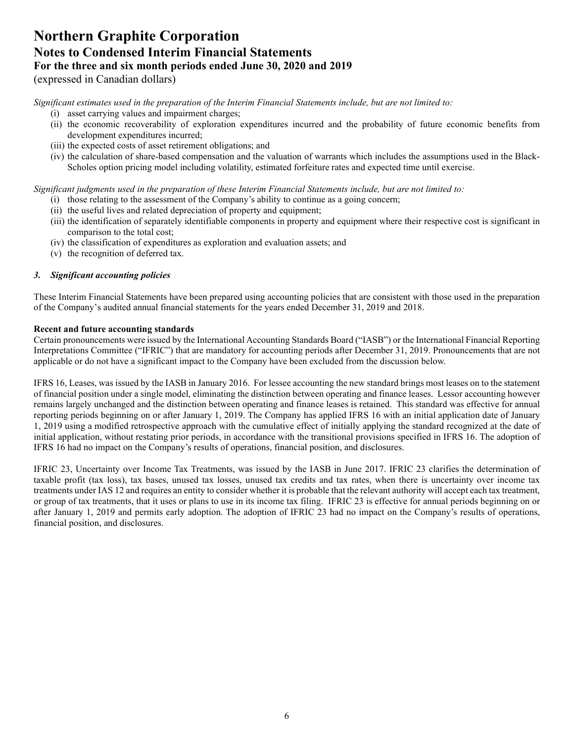(expressed in Canadian dollars)

*Significant estimates used in the preparation of the Interim Financial Statements include, but are not limited to:* 

- (i) asset carrying values and impairment charges;
- (ii) the economic recoverability of exploration expenditures incurred and the probability of future economic benefits from development expenditures incurred;
- (iii) the expected costs of asset retirement obligations; and
- (iv) the calculation of share-based compensation and the valuation of warrants which includes the assumptions used in the Black-Scholes option pricing model including volatility, estimated forfeiture rates and expected time until exercise.

*Significant judgments used in the preparation of these Interim Financial Statements include, but are not limited to:* 

- (i) those relating to the assessment of the Company's ability to continue as a going concern;
- (ii) the useful lives and related depreciation of property and equipment;
- (iii) the identification of separately identifiable components in property and equipment where their respective cost is significant in comparison to the total cost;
- (iv) the classification of expenditures as exploration and evaluation assets; and
- (v) the recognition of deferred tax.

### *3. Significant accounting policies*

These Interim Financial Statements have been prepared using accounting policies that are consistent with those used in the preparation of the Company's audited annual financial statements for the years ended December 31, 2019 and 2018.

### **Recent and future accounting standards**

Certain pronouncements were issued by the International Accounting Standards Board ("IASB") or the International Financial Reporting Interpretations Committee ("IFRIC") that are mandatory for accounting periods after December 31, 2019. Pronouncements that are not applicable or do not have a significant impact to the Company have been excluded from the discussion below.

IFRS 16, Leases, was issued by the IASB in January 2016. For lessee accounting the new standard brings most leases on to the statement of financial position under a single model, eliminating the distinction between operating and finance leases. Lessor accounting however remains largely unchanged and the distinction between operating and finance leases is retained. This standard was effective for annual reporting periods beginning on or after January 1, 2019. The Company has applied IFRS 16 with an initial application date of January 1, 2019 using a modified retrospective approach with the cumulative effect of initially applying the standard recognized at the date of initial application, without restating prior periods, in accordance with the transitional provisions specified in IFRS 16. The adoption of IFRS 16 had no impact on the Company's results of operations, financial position, and disclosures.

IFRIC 23, Uncertainty over Income Tax Treatments, was issued by the IASB in June 2017. IFRIC 23 clarifies the determination of taxable profit (tax loss), tax bases, unused tax losses, unused tax credits and tax rates, when there is uncertainty over income tax treatments under IAS 12 and requires an entity to consider whether it is probable that the relevant authority will accept each tax treatment, or group of tax treatments, that it uses or plans to use in its income tax filing. IFRIC 23 is effective for annual periods beginning on or after January 1, 2019 and permits early adoption. The adoption of IFRIC 23 had no impact on the Company's results of operations, financial position, and disclosures.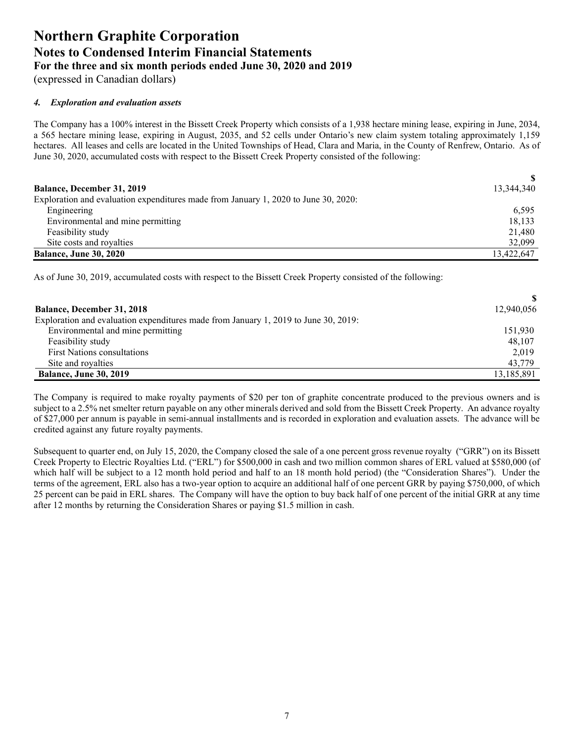(expressed in Canadian dollars)

### *4. Exploration and evaluation assets*

The Company has a 100% interest in the Bissett Creek Property which consists of a 1,938 hectare mining lease, expiring in June, 2034, a 565 hectare mining lease, expiring in August, 2035, and 52 cells under Ontario's new claim system totaling approximately 1,159 hectares. All leases and cells are located in the United Townships of Head, Clara and Maria, in the County of Renfrew, Ontario. As of June 30, 2020, accumulated costs with respect to the Bissett Creek Property consisted of the following:

|                                                                                     | <sup>\$</sup> |
|-------------------------------------------------------------------------------------|---------------|
| <b>Balance, December 31, 2019</b>                                                   | 13,344,340    |
| Exploration and evaluation expenditures made from January 1, 2020 to June 30, 2020: |               |
| Engineering                                                                         | 6.595         |
| Environmental and mine permitting                                                   | 18,133        |
| Feasibility study                                                                   | 21,480        |
| Site costs and royalties                                                            | 32,099        |
| <b>Balance, June 30, 2020</b>                                                       | 13,422,647    |

As of June 30, 2019, accumulated costs with respect to the Bissett Creek Property consisted of the following:

| <b>Balance, December 31, 2018</b>                                                   | 12,940,056 |
|-------------------------------------------------------------------------------------|------------|
| Exploration and evaluation expenditures made from January 1, 2019 to June 30, 2019: |            |
| Environmental and mine permitting                                                   | 151,930    |
| Feasibility study                                                                   | 48,107     |
| <b>First Nations consultations</b>                                                  | 2,019      |
| Site and royalties                                                                  | 43,779     |
| <b>Balance, June 30, 2019</b>                                                       | 13,185,891 |

The Company is required to make royalty payments of \$20 per ton of graphite concentrate produced to the previous owners and is subject to a 2.5% net smelter return payable on any other minerals derived and sold from the Bissett Creek Property. An advance royalty of \$27,000 per annum is payable in semi-annual installments and is recorded in exploration and evaluation assets. The advance will be credited against any future royalty payments.

Subsequent to quarter end, on July 15, 2020, the Company closed the sale of a one percent gross revenue royalty ("GRR") on its Bissett Creek Property to Electric Royalties Ltd. ("ERL") for \$500,000 in cash and two million common shares of ERL valued at \$580,000 (of which half will be subject to a 12 month hold period and half to an 18 month hold period) (the "Consideration Shares"). Under the terms of the agreement, ERL also has a two-year option to acquire an additional half of one percent GRR by paying \$750,000, of which 25 percent can be paid in ERL shares. The Company will have the option to buy back half of one percent of the initial GRR at any time after 12 months by returning the Consideration Shares or paying \$1.5 million in cash.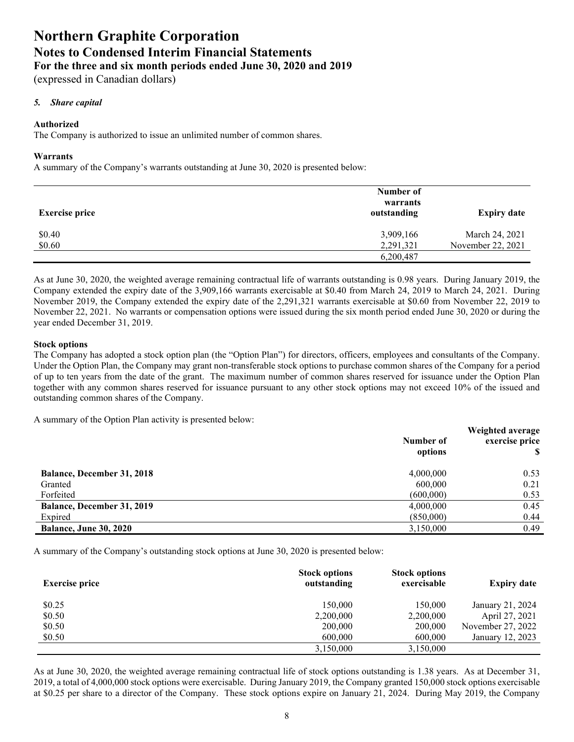(expressed in Canadian dollars)

### *5. Share capital*

### **Authorized**

The Company is authorized to issue an unlimited number of common shares.

#### **Warrants**

A summary of the Company's warrants outstanding at June 30, 2020 is presented below:

| <b>Exercise price</b> | Number of<br>warrants<br>outstanding | <b>Expiry date</b>                  |
|-----------------------|--------------------------------------|-------------------------------------|
| \$0.40<br>\$0.60      | 3,909,166<br>2,291,321               | March 24, 2021<br>November 22, 2021 |
|                       | 6,200,487                            |                                     |

As at June 30, 2020, the weighted average remaining contractual life of warrants outstanding is 0.98 years. During January 2019, the Company extended the expiry date of the 3,909,166 warrants exercisable at \$0.40 from March 24, 2019 to March 24, 2021. During November 2019, the Company extended the expiry date of the 2,291,321 warrants exercisable at \$0.60 from November 22, 2019 to November 22, 2021. No warrants or compensation options were issued during the six month period ended June 30, 2020 or during the year ended December 31, 2019.

#### **Stock options**

The Company has adopted a stock option plan (the "Option Plan") for directors, officers, employees and consultants of the Company. Under the Option Plan, the Company may grant non-transferable stock options to purchase common shares of the Company for a period of up to ten years from the date of the grant. The maximum number of common shares reserved for issuance under the Option Plan together with any common shares reserved for issuance pursuant to any other stock options may not exceed 10% of the issued and outstanding common shares of the Company.

A summary of the Option Plan activity is presented below:

|                                   | Number of<br>options | Weighted average<br>exercise price |
|-----------------------------------|----------------------|------------------------------------|
| <b>Balance, December 31, 2018</b> | 4,000,000            | 0.53                               |
| Granted                           | 600,000              | 0.21                               |
| Forfeited                         | (600,000)            | 0.53                               |
| <b>Balance, December 31, 2019</b> | 4,000,000            | 0.45                               |
| Expired                           | (850,000)            | 0.44                               |
| <b>Balance, June 30, 2020</b>     | 3,150,000            | 0.49                               |

A summary of the Company's outstanding stock options at June 30, 2020 is presented below:

| <b>Exercise price</b> | <b>Stock options</b><br>outstanding | <b>Stock options</b><br>exercisable | <b>Expiry date</b> |
|-----------------------|-------------------------------------|-------------------------------------|--------------------|
| \$0.25                | 150,000                             | 150,000                             | January 21, 2024   |
| \$0.50                | 2,200,000                           | 2,200,000                           | April 27, 2021     |
| \$0.50                | 200,000                             | 200,000                             | November 27, 2022  |
| \$0.50                | 600,000                             | 600,000                             | January 12, 2023   |
|                       | 3,150,000                           | 3,150,000                           |                    |

As at June 30, 2020, the weighted average remaining contractual life of stock options outstanding is 1.38 years. As at December 31, 2019, a total of 4,000,000 stock options were exercisable. During January 2019, the Company granted 150,000 stock options exercisable at \$0.25 per share to a director of the Company. These stock options expire on January 21, 2024. During May 2019, the Company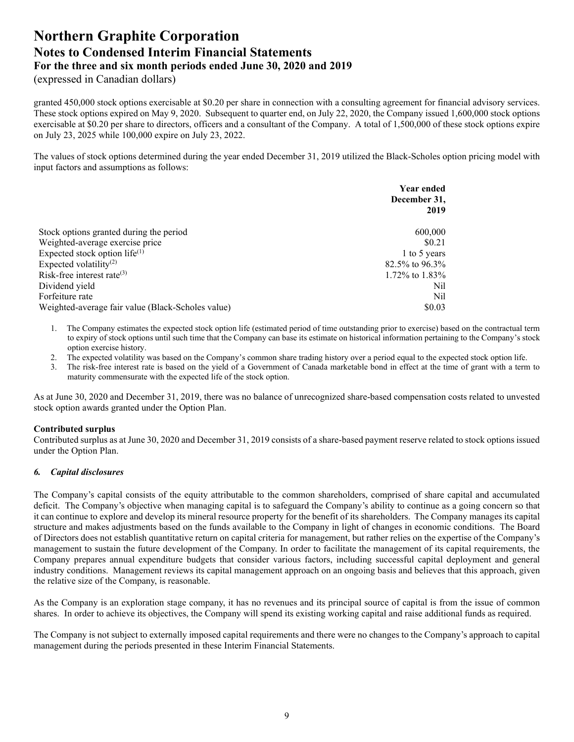(expressed in Canadian dollars)

granted 450,000 stock options exercisable at \$0.20 per share in connection with a consulting agreement for financial advisory services. These stock options expired on May 9, 2020. Subsequent to quarter end, on July 22, 2020, the Company issued 1,600,000 stock options exercisable at \$0.20 per share to directors, officers and a consultant of the Company. A total of 1,500,000 of these stock options expire on July 23, 2025 while 100,000 expire on July 23, 2022.

The values of stock options determined during the year ended December 31, 2019 utilized the Black-Scholes option pricing model with input factors and assumptions as follows:

|                                                   | <b>Year ended</b><br>December 31, |
|---------------------------------------------------|-----------------------------------|
|                                                   | 2019                              |
| Stock options granted during the period           | 600,000                           |
| Weighted-average exercise price                   | \$0.21                            |
| Expected stock option life $(1)$                  | 1 to 5 years                      |
| Expected volatility <sup>(2)</sup>                | 82.5% to 96.3%                    |
| Risk-free interest rate $^{(3)}$                  | 1.72\% to 1.83\%                  |
| Dividend yield                                    | Nil                               |
| Forfeiture rate                                   | Nil                               |
| Weighted-average fair value (Black-Scholes value) | \$0.03                            |

- 1. The Company estimates the expected stock option life (estimated period of time outstanding prior to exercise) based on the contractual term to expiry of stock options until such time that the Company can base its estimate on historical information pertaining to the Company's stock option exercise history.
- 2. The expected volatility was based on the Company's common share trading history over a period equal to the expected stock option life.
- 3. The risk-free interest rate is based on the yield of a Government of Canada marketable bond in effect at the time of grant with a term to maturity commensurate with the expected life of the stock option.

As at June 30, 2020 and December 31, 2019, there was no balance of unrecognized share-based compensation costs related to unvested stock option awards granted under the Option Plan.

### **Contributed surplus**

Contributed surplus as at June 30, 2020 and December 31, 2019 consists of a share-based payment reserve related to stock options issued under the Option Plan.

### *6. Capital disclosures*

The Company's capital consists of the equity attributable to the common shareholders, comprised of share capital and accumulated deficit. The Company's objective when managing capital is to safeguard the Company's ability to continue as a going concern so that it can continue to explore and develop its mineral resource property for the benefit of its shareholders. The Company manages its capital structure and makes adjustments based on the funds available to the Company in light of changes in economic conditions. The Board of Directors does not establish quantitative return on capital criteria for management, but rather relies on the expertise of the Company's management to sustain the future development of the Company. In order to facilitate the management of its capital requirements, the Company prepares annual expenditure budgets that consider various factors, including successful capital deployment and general industry conditions. Management reviews its capital management approach on an ongoing basis and believes that this approach, given the relative size of the Company, is reasonable.

As the Company is an exploration stage company, it has no revenues and its principal source of capital is from the issue of common shares. In order to achieve its objectives, the Company will spend its existing working capital and raise additional funds as required.

The Company is not subject to externally imposed capital requirements and there were no changes to the Company's approach to capital management during the periods presented in these Interim Financial Statements.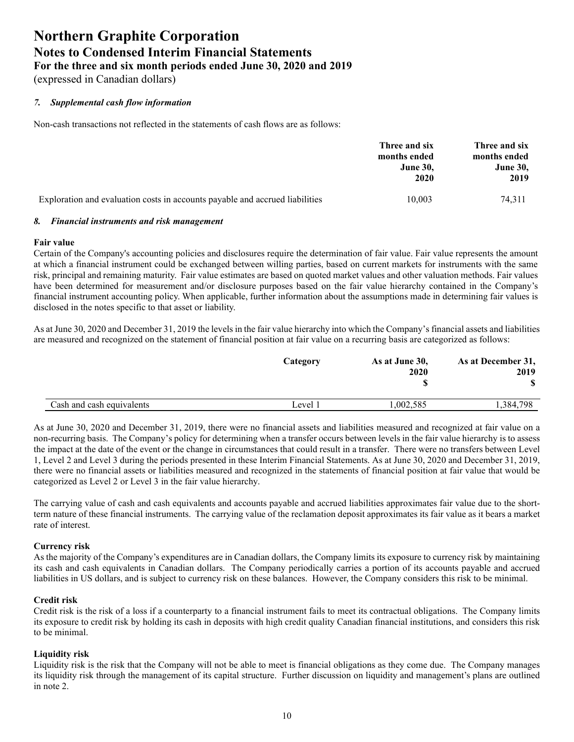(expressed in Canadian dollars)

### *7. Supplemental cash flow information*

Non-cash transactions not reflected in the statements of cash flows are as follows:

|                                                                              | Three and six   | Three and six   |
|------------------------------------------------------------------------------|-----------------|-----------------|
|                                                                              | months ended    | months ended    |
|                                                                              | <b>June 30.</b> | <b>June 30,</b> |
|                                                                              | 2020            | 2019            |
| Exploration and evaluation costs in accounts payable and accrued liabilities | 10,003          | 74.311          |

#### *8. Financial instruments and risk management*

#### **Fair value**

Certain of the Company's accounting policies and disclosures require the determination of fair value. Fair value represents the amount at which a financial instrument could be exchanged between willing parties, based on current markets for instruments with the same risk, principal and remaining maturity. Fair value estimates are based on quoted market values and other valuation methods. Fair values have been determined for measurement and/or disclosure purposes based on the fair value hierarchy contained in the Company's financial instrument accounting policy. When applicable, further information about the assumptions made in determining fair values is disclosed in the notes specific to that asset or liability.

As at June 30, 2020 and December 31, 2019 the levels in the fair value hierarchy into which the Company's financial assets and liabilities are measured and recognized on the statement of financial position at fair value on a recurring basis are categorized as follows:

|                           | Category | As at June 30,<br>2020 | As at December 31,<br>2019 |
|---------------------------|----------|------------------------|----------------------------|
| Cash and cash equivalents | Level 1  | .002.585               | 1.384.798                  |

As at June 30, 2020 and December 31, 2019, there were no financial assets and liabilities measured and recognized at fair value on a non-recurring basis. The Company's policy for determining when a transfer occurs between levels in the fair value hierarchy is to assess the impact at the date of the event or the change in circumstances that could result in a transfer. There were no transfers between Level 1, Level 2 and Level 3 during the periods presented in these Interim Financial Statements. As at June 30, 2020 and December 31, 2019, there were no financial assets or liabilities measured and recognized in the statements of financial position at fair value that would be categorized as Level 2 or Level 3 in the fair value hierarchy.

The carrying value of cash and cash equivalents and accounts payable and accrued liabilities approximates fair value due to the shortterm nature of these financial instruments. The carrying value of the reclamation deposit approximates its fair value as it bears a market rate of interest.

### **Currency risk**

As the majority of the Company's expenditures are in Canadian dollars, the Company limits its exposure to currency risk by maintaining its cash and cash equivalents in Canadian dollars. The Company periodically carries a portion of its accounts payable and accrued liabilities in US dollars, and is subject to currency risk on these balances. However, the Company considers this risk to be minimal.

### **Credit risk**

Credit risk is the risk of a loss if a counterparty to a financial instrument fails to meet its contractual obligations. The Company limits its exposure to credit risk by holding its cash in deposits with high credit quality Canadian financial institutions, and considers this risk to be minimal.

### **Liquidity risk**

Liquidity risk is the risk that the Company will not be able to meet is financial obligations as they come due. The Company manages its liquidity risk through the management of its capital structure. Further discussion on liquidity and management's plans are outlined in note 2.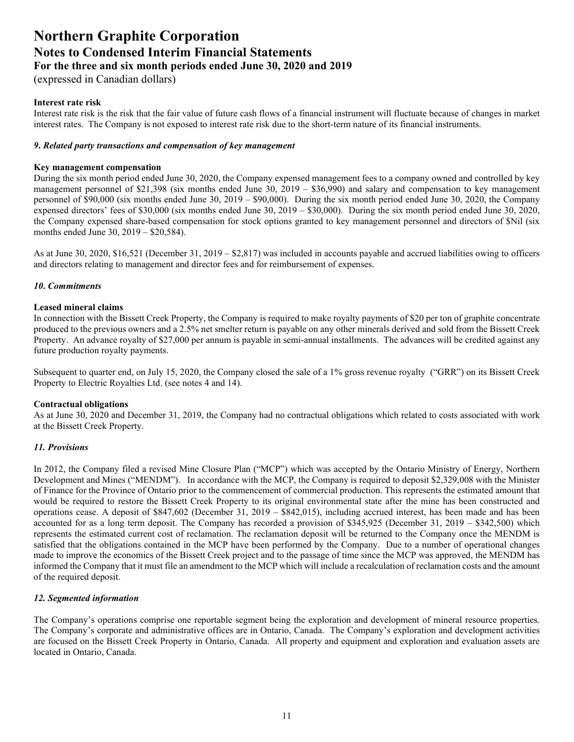### **Northern Graphite Corporation Notes to Condensed Interim Financial Statements**

**For the three and six month periods ended June 30, 2020 and 2019**

(expressed in Canadian dollars)

### **Interest rate risk**

Interest rate risk is the risk that the fair value of future cash flows of a financial instrument will fluctuate because of changes in market interest rates. The Company is not exposed to interest rate risk due to the short-term nature of its financial instruments.

#### *9***.** *Related party transactions and compensation of key management*

#### **Key management compensation**

During the six month period ended June 30, 2020, the Company expensed management fees to a company owned and controlled by key management personnel of \$21,398 (six months ended June 30, 2019 – \$36,990) and salary and compensation to key management personnel of \$90,000 (six months ended June 30, 2019 – \$90,000). During the six month period ended June 30, 2020, the Company expensed directors' fees of \$30,000 (six months ended June 30, 2019 – \$30,000). During the six month period ended June 30, 2020, the Company expensed share-based compensation for stock options granted to key management personnel and directors of \$Nil (six months ended June 30, 2019 – \$20,584).

As at June 30, 2020, \$16,521 (December 31, 2019 – \$2,817) was included in accounts payable and accrued liabilities owing to officers and directors relating to management and director fees and for reimbursement of expenses.

### *10***.** *Commitments*

#### **Leased mineral claims**

In connection with the Bissett Creek Property, the Company is required to make royalty payments of \$20 per ton of graphite concentrate produced to the previous owners and a 2.5% net smelter return is payable on any other minerals derived and sold from the Bissett Creek Property. An advance royalty of \$27,000 per annum is payable in semi-annual installments. The advances will be credited against any future production royalty payments.

Subsequent to quarter end, on July 15, 2020, the Company closed the sale of a 1% gross revenue royalty ("GRR") on its Bissett Creek Property to Electric Royalties Ltd. (see notes 4 and 14).

### **Contractual obligations**

As at June 30, 2020 and December 31, 2019, the Company had no contractual obligations which related to costs associated with work at the Bissett Creek Property.

### *11. Provisions*

In 2012, the Company filed a revised Mine Closure Plan ("MCP") which was accepted by the Ontario Ministry of Energy, Northern Development and Mines ("MENDM"). In accordance with the MCP, the Company is required to deposit \$2,329,008 with the Minister of Finance for the Province of Ontario prior to the commencement of commercial production. This represents the estimated amount that would be required to restore the Bissett Creek Property to its original environmental state after the mine has been constructed and operations cease. A deposit of \$847,602 (December 31, 2019 – \$842,015), including accrued interest, has been made and has been accounted for as a long term deposit. The Company has recorded a provision of \$345,925 (December 31, 2019 – \$342,500) which represents the estimated current cost of reclamation. The reclamation deposit will be returned to the Company once the MENDM is satisfied that the obligations contained in the MCP have been performed by the Company. Due to a number of operational changes made to improve the economics of the Bissett Creek project and to the passage of time since the MCP was approved, the MENDM has informed the Company that it must file an amendment to the MCP which will include a recalculation of reclamation costs and the amount of the required deposit.

### *12. Segmented information*

The Company's operations comprise one reportable segment being the exploration and development of mineral resource properties. The Company's corporate and administrative offices are in Ontario, Canada. The Company's exploration and development activities are focused on the Bissett Creek Property in Ontario, Canada. All property and equipment and exploration and evaluation assets are located in Ontario, Canada.